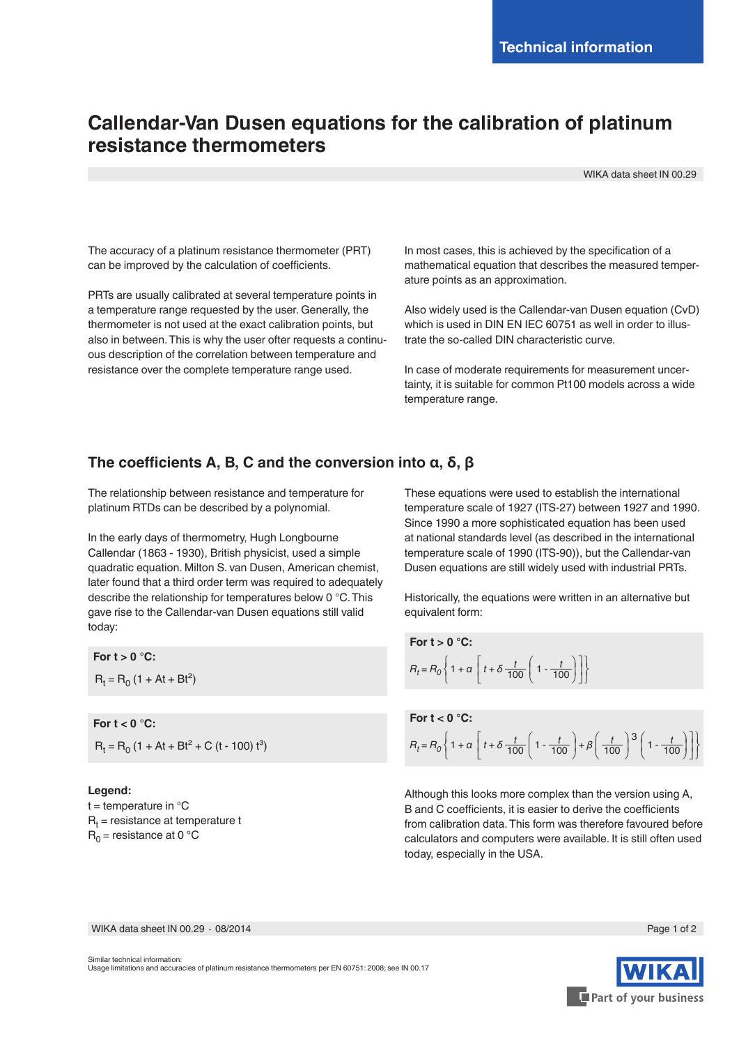## **Callendar-Van Dusen equations for the calibration of platinum resistance thermometers**

WIKA data sheet IN 00.29

The accuracy of a platinum resistance thermometer (PRT) can be improved by the calculation of coefficients.

PRTs are usually calibrated at several temperature points in a temperature range requested by the user. Generally, the thermometer is not used at the exact calibration points, but also in between. This is why the user ofter requests a continuous description of the correlation between temperature and resistance over the complete temperature range used.

In most cases, this is achieved by the specification of a mathematical equation that describes the measured temperature points as an approximation.

Also widely used is the Callendar-van Dusen equation (CvD) which is used in DIN EN IEC 60751 as well in order to illustrate the so-called DIN characteristic curve.

In case of moderate requirements for measurement uncertainty, it is suitable for common Pt100 models across a wide temperature range.

## **The coefficients A, B, C and the conversion into α, δ, β**

The relationship between resistance and temperature for platinum RTDs can be described by a polynomial.

In the early days of thermometry, Hugh Longbourne Callendar (1863 - 1930), British physicist, used a simple quadratic equation. Milton S. van Dusen, American chemist, later found that a third order term was required to adequately describe the relationship for temperatures below 0 °C. This gave rise to the Callendar-van Dusen equations still valid today:

**For t > 0 °C:**  $R_t = R_0 (1 + At + Bt^2)$ 

**For t < 0 °C:**  $R_t = R_0 (1 + At + Bt^2 + C (t - 100) t^3)$ 

## **Legend:**

 $t =$  temperature in  $^{\circ}C$  $R_{t}$  = resistance at temperature t  $R_0$  = resistance at 0 °C

These equations were used to establish the international temperature scale of 1927 (ITS-27) between 1927 and 1990. Since 1990 a more sophisticated equation has been used at national standards level (as described in the international temperature scale of 1990 (ITS-90)), but the Callendar-van Dusen equations are still widely used with industrial PRTs.

Historically, the equations were written in an alternative but equivalent form:

For 
$$
t > 0
$$
 °C:  
\n
$$
R_t = R_0 \left\{ 1 + \alpha \left[ t + \delta \frac{t}{100} \left( 1 - \frac{t}{100} \right) \right] \right\}
$$

**For t < 0 °C:**  $R_t = R_0 \left\{ 1 + a \left[ t + \delta \frac{t}{100} \left( 1 - \frac{t}{100} \right) + \beta \left( \frac{t}{100} \right)^3 \left( 1 - \frac{t}{100} \right) \right] \right\}$ 

Although this looks more complex than the version using A, B and C coefficients, it is easier to derive the coefficients from calibration data. This form was therefore favoured before calculators and computers were available. It is still often used today, especially in the USA.

WIKA data sheet IN 00.29 ⋅ 08/2014 Page 1 of 2

Similar technical information: Usage limitations and accuracies of platinum resistance thermometers per EN 60751: 2008; see IN 00.17